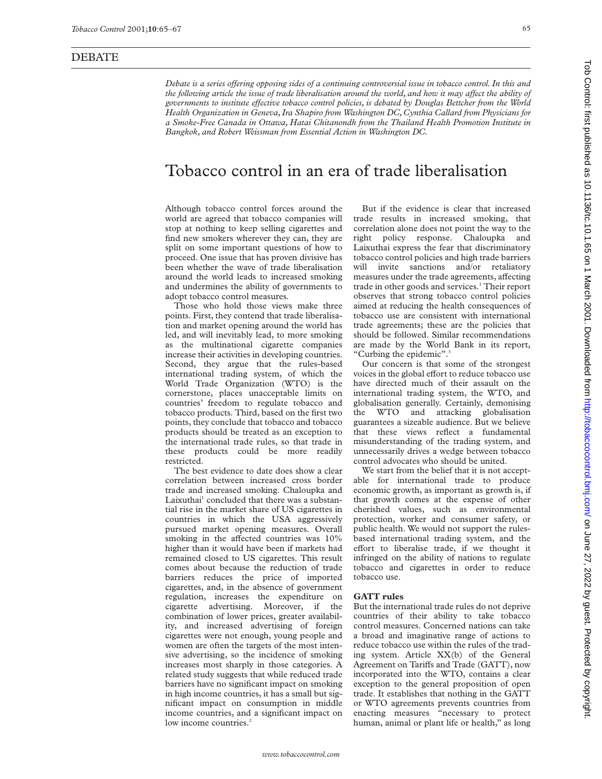## DEBATE

*Debate is a series oVering opposing sides of a continuing controversial issue in tobacco control. In this and the following article the issue of trade liberalisation around the world, and how it may affect the ability of governments to institute eVective tobacco control policies, is debated by Douglas Bettcher from the World Health Organization in Geneva, Ira Shapiro from Washington DC, Cynthia Callard from Physicians for a Smoke-Free Canada in Ottawa, Hatai Chitanondh from the Thailand Health Promotion Institute in Bangkok, and Robert Weissman from Essential Action in Washington DC.*

# Tobacco control in an era of trade liberalisation

Although tobacco control forces around the world are agreed that tobacco companies will stop at nothing to keep selling cigarettes and find new smokers wherever they can, they are split on some important questions of how to proceed. One issue that has proven divisive has been whether the wave of trade liberalisation around the world leads to increased smoking and undermines the ability of governments to adopt tobacco control measures.

Those who hold those views make three points. First, they contend that trade liberalisation and market opening around the world has led, and will inevitably lead, to more smoking as the multinational cigarette companies increase their activities in developing countries. Second, they argue that the rules-based international trading system, of which the World Trade Organization (WTO) is the cornerstone, places unacceptable limits on countries' freedom to regulate tobacco and tobacco products. Third, based on the first two points, they conclude that tobacco and tobacco products should be treated as an exception to the international trade rules, so that trade in these products could be more readily restricted.

The best evidence to date does show a clear correlation between increased cross border trade and increased smoking. Chaloupka and Laixuthai<sup>1</sup> concluded that there was a substantial rise in the market share of US cigarettes in countries in which the USA aggressively pursued market opening measures. Overall smoking in the affected countries was  $10\%$ higher than it would have been if markets had remained closed to US cigarettes. This result comes about because the reduction of trade barriers reduces the price of imported cigarettes, and, in the absence of government regulation, increases the expenditure on cigarette advertising. Moreover, if the combination of lower prices, greater availability, and increased advertising of foreign cigarettes were not enough, young people and women are often the targets of the most intensive advertising, so the incidence of smoking increases most sharply in those categories. A related study suggests that while reduced trade barriers have no significant impact on smoking in high income countries, it has a small but significant impact on consumption in middle income countries, and a significant impact on low income countries.<sup>2</sup>

But if the evidence is clear that increased trade results in increased smoking, that correlation alone does not point the way to the right policy response. Chaloupka and Laixuthai express the fear that discriminatory tobacco control policies and high trade barriers will invite sanctions and/or retaliatory measures under the trade agreements, affecting trade in other goods and services.<sup>1</sup> Their report observes that strong tobacco control policies aimed at reducing the health consequences of tobacco use are consistent with international trade agreements; these are the policies that should be followed. Similar recommendations are made by the World Bank in its report, "Curbing the epidemic".3

Our concern is that some of the strongest voices in the global effort to reduce tobacco use have directed much of their assault on the international trading system, the WTO, and globalisation generally. Certainly, demonising the WTO and attacking globalisation guarantees a sizeable audience. But we believe that these views reflect a fundamental misunderstanding of the trading system, and unnecessarily drives a wedge between tobacco control advocates who should be united.

We start from the belief that it is not acceptable for international trade to produce economic growth, as important as growth is, if that growth comes at the expense of other cherished values, such as environmental protection, worker and consumer safety, or public health. We would not support the rulesbased international trading system, and the effort to liberalise trade, if we thought it infringed on the ability of nations to regulate tobacco and cigarettes in order to reduce tobacco use.

### **GATT rules**

But the international trade rules do not deprive countries of their ability to take tobacco control measures. Concerned nations can take a broad and imaginative range of actions to reduce tobacco use within the rules of the trading system. Article XX(b) of the General Agreement on Tariffs and Trade (GATT), now incorporated into the WTO, contains a clear exception to the general proposition of open trade. It establishes that nothing in the GATT or WTO agreements prevents countries from enacting measures "necessary to protect human, animal or plant life or health," as long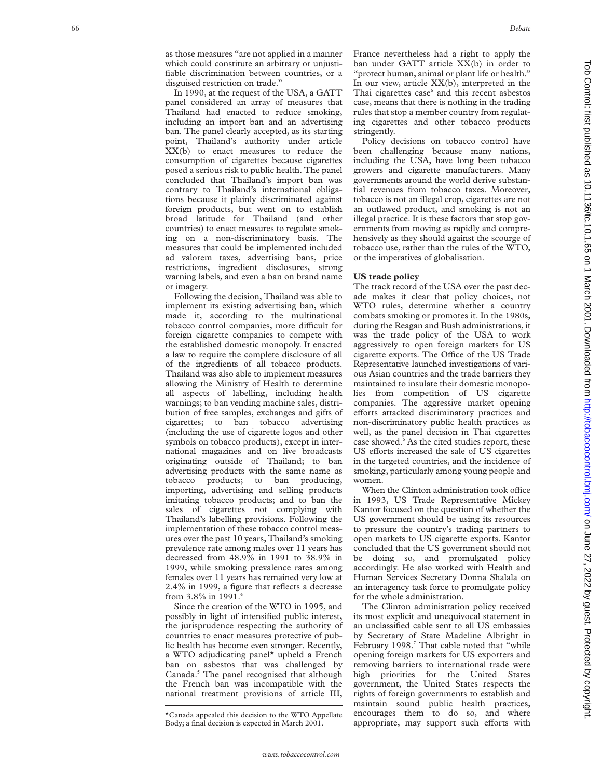as those measures "are not applied in a manner which could constitute an arbitrary or unjustifiable discrimination between countries, or a disguised restriction on trade."

In 1990, at the request of the USA, a GATT panel considered an array of measures that Thailand had enacted to reduce smoking, including an import ban and an advertising ban. The panel clearly accepted, as its starting point, Thailand's authority under article XX(b) to enact measures to reduce the consumption of cigarettes because cigarettes posed a serious risk to public health. The panel concluded that Thailand's import ban was contrary to Thailand's international obligations because it plainly discriminated against foreign products, but went on to establish broad latitude for Thailand (and other countries) to enact measures to regulate smoking on a non-discriminatory basis. The measures that could be implemented included ad valorem taxes, advertising bans, price restrictions, ingredient disclosures, strong warning labels, and even a ban on brand name or imagery.

Following the decision, Thailand was able to implement its existing advertising ban, which made it, according to the multinational tobacco control companies, more difficult for foreign cigarette companies to compete with the established domestic monopoly. It enacted a law to require the complete disclosure of all of the ingredients of all tobacco products. Thailand was also able to implement measures allowing the Ministry of Health to determine all aspects of labelling, including health warnings; to ban vending machine sales, distribution of free samples, exchanges and gifts of cigarettes; to ban tobacco advertising (including the use of cigarette logos and other symbols on tobacco products), except in international magazines and on live broadcasts originating outside of Thailand; to ban advertising products with the same name as tobacco products; to ban producing, importing, advertising and selling products imitating tobacco products; and to ban the sales of cigarettes not complying with Thailand's labelling provisions. Following the implementation of these tobacco control measures over the past 10 years, Thailand's smoking prevalence rate among males over 11 years has decreased from 48.9% in 1991 to 38.9% in 1999, while smoking prevalence rates among females over 11 years has remained very low at 2.4% in 1999, a figure that reflects a decrease from 3.8% in 1991. 4

Since the creation of the WTO in 1995, and possibly in light of intensified public interest, the jurisprudence respecting the authority of countries to enact measures protective of public health has become even stronger. Recently, a WTO adjudicating panel\* upheld a French ban on asbestos that was challenged by Canada. <sup>5</sup> The panel recognised that although the French ban was incompatible with the national treatment provisions of article III,

France nevertheless had a right to apply the ban under GATT article XX(b) in order to "protect human, animal or plant life or health." In our view, article XX(b), interpreted in the Thai cigarettes case <sup>6</sup> and this recent asbestos case, means that there is nothing in the trading rules that stop a member country from regulating cigarettes and other tobacco products stringently.

Policy decisions on tobacco control have been challenging because many nations, including the USA, have long been tobacco growers and cigarette manufacturers. Many governments around the world derive substantial revenues from tobacco taxes. Moreover, tobacco is not an illegal crop, cigarettes are not an outlawed product, and smoking is not an illegal practice. It is these factors that stop governments from moving as rapidly and comprehensively as they should against the scourge of tobacco use, rather than the rules of the WTO, or the imperatives of globalisation.

#### **US trade policy**

The track record of the USA over the past decade makes it clear that policy choices, not WTO rules, determine whether a country combats smoking or promotes it. In the 1980s, during the Reagan and Bush administrations, it was the trade policy of the USA to work aggressively to open foreign markets for US cigarette exports. The Office of the US Trade Representative launched investigations of various Asian countries and the trade barriers they maintained to insulate their domestic monopolies from competition of US cigarette companies. The aggressive market opening efforts attacked discriminatory practices and non-discriminatory public health practices as well, as the panel decision in Thai cigarettes case showed. <sup>6</sup> As the cited studies report, these US efforts increased the sale of US cigarettes in the targeted countries, and the incidence of smoking, particularly among young people and women.

When the Clinton administration took office in 1993, US Trade Representative Mickey Kantor focused on the question of whether the US government should be using its resources to pressure the country's trading partners to open markets to US cigarette exports. Kantor concluded that the US government should not be doing so, and promulgated policy accordingly. He also worked with Health and Human Services Secretary Donna Shalala on an interagency task force to promulgate policy for the whole administration.

The Clinton administration policy received its most explicit and unequivocal statement in an unclassified cable sent to all US embassies by Secretary of State Madeline Albright in February 1998. <sup>7</sup> That cable noted that "while opening foreign markets for US exporters and removing barriers to international trade were high priorities for the United States government, the United States respects the rights of foreign governments to establish and maintain sound public health practices, encourages them to do so, and where appropriate, may support such efforts with

<sup>\*</sup>Canada appealed this decision to the WTO Appellate Body; a final decision is expected in March 2001.